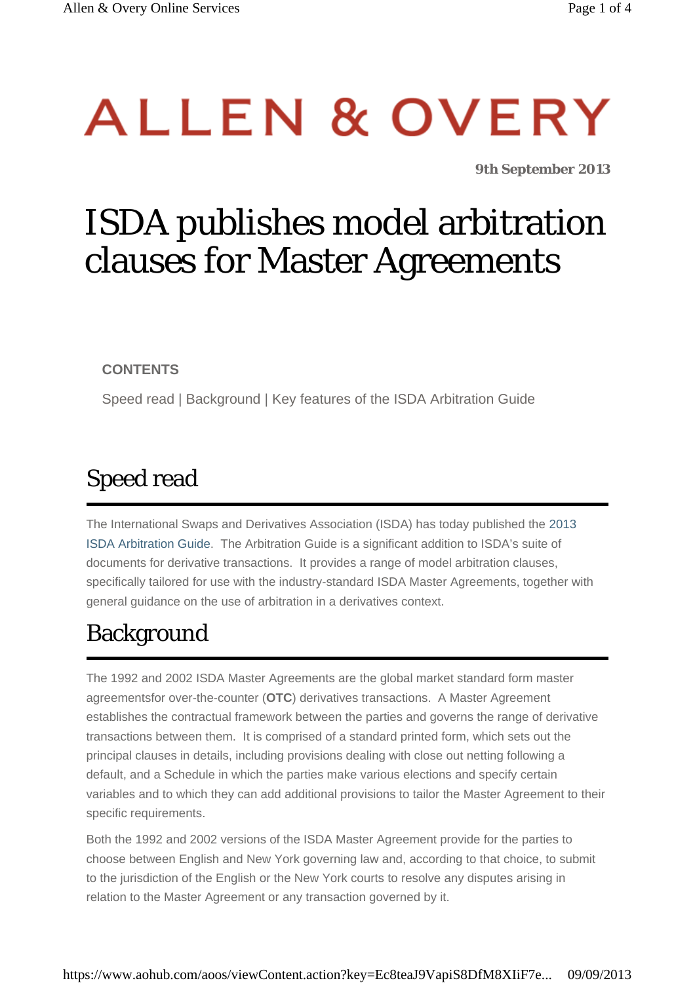# ALLEN & OVERY

*9th September 2013*

# ISDA publishes model arbitration clauses for Master Agreements

**CONTENTS**

Speed read | Background | Key features of the ISDA Arbitration Guide

## Speed read

The International Swaps and Derivatives Association (ISDA) has today published the [2013](http://www.isda.org/publications/isdamasteragrmnt.aspx) [ISDA Arbitration Guide](http://www.isda.org/publications/isdamasteragrmnt.aspx). The Arbitration Guide is a significant addition to ISDA's suite of documents for derivative transactions. It provides a range of model arbitration clauses, specifically tailored for use with the industry-standard ISDA Master Agreements, together with general guidance on the use of arbitration in a derivatives context.

## Background

The 1992 and 2002 ISDA Master Agreements are the global market standard form master agreementsfor over-the-counter (**OTC**) derivatives transactions. A Master Agreement establishes the contractual framework between the parties and governs the range of derivative transactions between them. It is comprised of a standard printed form, which sets out the principal clauses in details, including provisions dealing with close out netting following a default, and a Schedule in which the parties make various elections and specify certain variables and to which they can add additional provisions to tailor the Master Agreement to their specific requirements.

Both the 1992 and 2002 versions of the ISDA Master Agreement provide for the parties to choose between English and New York governing law and, according to that choice, to submit to the jurisdiction of the English or the New York courts to resolve any disputes arising in relation to the Master Agreement or any transaction governed by it.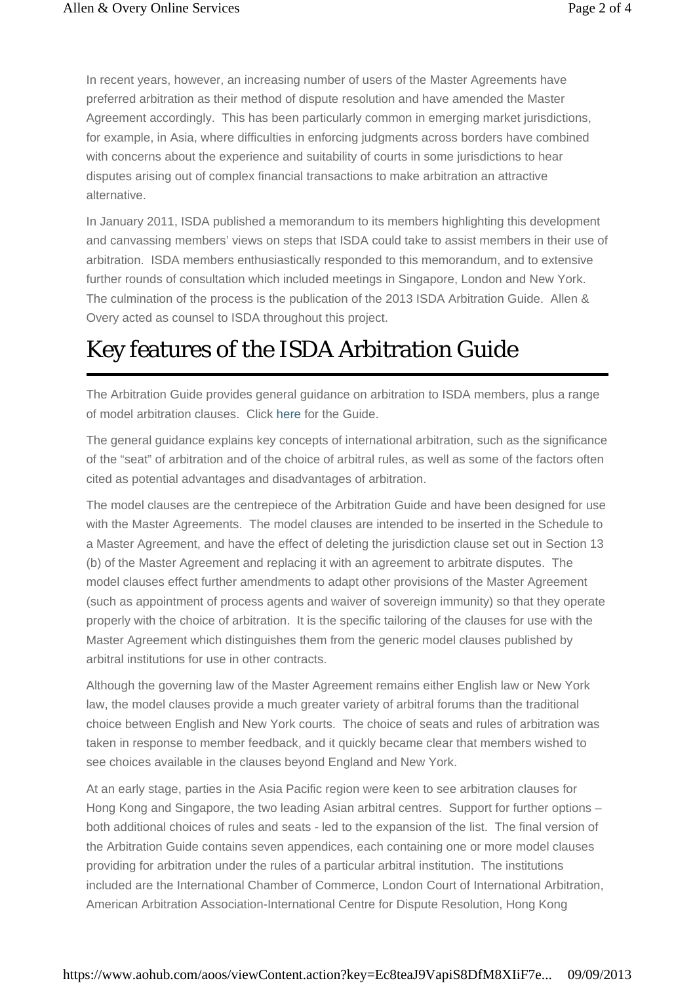In recent years, however, an increasing number of users of the Master Agreements have preferred arbitration as their method of dispute resolution and have amended the Master Agreement accordingly. This has been particularly common in emerging market jurisdictions, for example, in Asia, where difficulties in enforcing judgments across borders have combined with concerns about the experience and suitability of courts in some jurisdictions to hear disputes arising out of complex financial transactions to make arbitration an attractive alternative.

In January 2011, ISDA published a memorandum to its members highlighting this development and canvassing members' views on steps that ISDA could take to assist members in their use of arbitration. ISDA members enthusiastically responded to this memorandum, and to extensive further rounds of consultation which included meetings in Singapore, London and New York. The culmination of the process is the publication of the 2013 ISDA Arbitration Guide. Allen & Overy acted as counsel to ISDA throughout this project.

#### Key features of the ISDA Arbitration Guide

The Arbitration Guide provides general guidance on arbitration to ISDA members, plus a range of model arbitration clauses. Click [here](http://www.isda.org/publications/isdamasteragrmnt.aspx) for the Guide.

The general guidance explains key concepts of international arbitration, such as the significance of the "seat" of arbitration and of the choice of arbitral rules, as well as some of the factors often cited as potential advantages and disadvantages of arbitration.

The model clauses are the centrepiece of the Arbitration Guide and have been designed for use with the Master Agreements. The model clauses are intended to be inserted in the Schedule to a Master Agreement, and have the effect of deleting the jurisdiction clause set out in Section 13 (b) of the Master Agreement and replacing it with an agreement to arbitrate disputes. The model clauses effect further amendments to adapt other provisions of the Master Agreement (such as appointment of process agents and waiver of sovereign immunity) so that they operate properly with the choice of arbitration. It is the specific tailoring of the clauses for use with the Master Agreement which distinguishes them from the generic model clauses published by arbitral institutions for use in other contracts.

Although the governing law of the Master Agreement remains either English law or New York law, the model clauses provide a much greater variety of arbitral forums than the traditional choice between English and New York courts. The choice of seats and rules of arbitration was taken in response to member feedback, and it quickly became clear that members wished to see choices available in the clauses beyond England and New York.

At an early stage, parties in the Asia Pacific region were keen to see arbitration clauses for Hong Kong and Singapore, the two leading Asian arbitral centres. Support for further options – both additional choices of rules and seats - led to the expansion of the list. The final version of the Arbitration Guide contains seven appendices, each containing one or more model clauses providing for arbitration under the rules of a particular arbitral institution. The institutions included are the International Chamber of Commerce, London Court of International Arbitration, American Arbitration Association-International Centre for Dispute Resolution, Hong Kong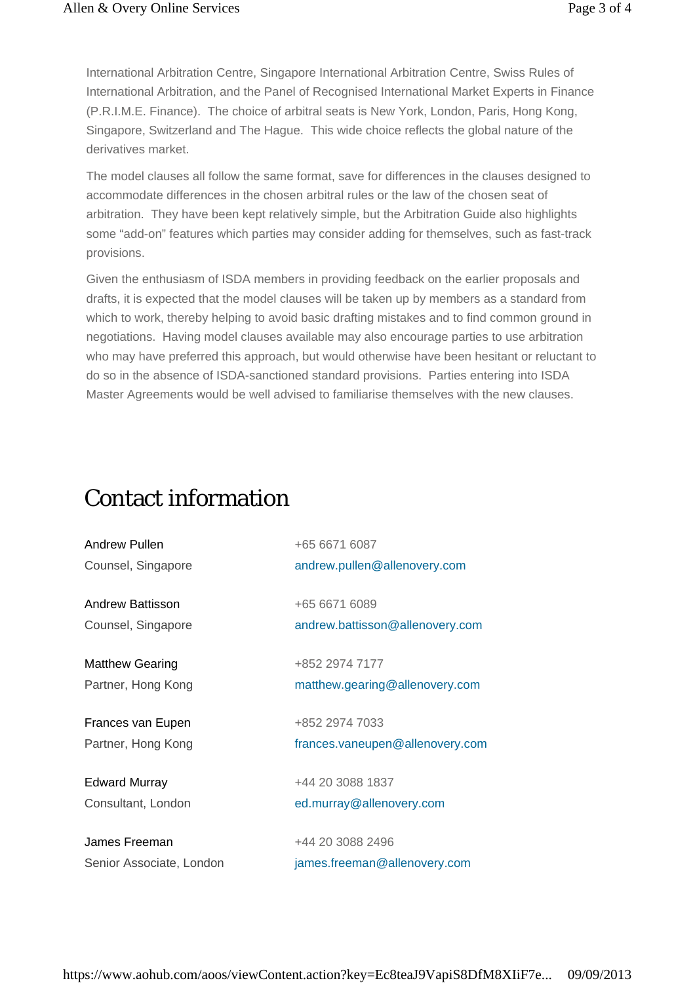International Arbitration Centre, Singapore International Arbitration Centre, Swiss Rules of International Arbitration, and the Panel of Recognised International Market Experts in Finance (P.R.I.M.E. Finance). The choice of arbitral seats is New York, London, Paris, Hong Kong, Singapore, Switzerland and The Hague. This wide choice reflects the global nature of the derivatives market.

The model clauses all follow the same format, save for differences in the clauses designed to accommodate differences in the chosen arbitral rules or the law of the chosen seat of arbitration. They have been kept relatively simple, but the Arbitration Guide also highlights some "add-on" features which parties may consider adding for themselves, such as fast-track provisions.

Given the enthusiasm of ISDA members in providing feedback on the earlier proposals and drafts, it is expected that the model clauses will be taken up by members as a standard from which to work, thereby helping to avoid basic drafting mistakes and to find common ground in negotiations. Having model clauses available may also encourage parties to use arbitration who may have preferred this approach, but would otherwise have been hesitant or reluctant to do so in the absence of ISDA-sanctioned standard provisions. Parties entering into ISDA Master Agreements would be well advised to familiarise themselves with the new clauses.

#### Contact information

| Andrew Pullen            | +65 6671 6087                   |
|--------------------------|---------------------------------|
| Counsel, Singapore       | andrew.pullen@allenovery.com    |
|                          |                                 |
| Andrew Battisson         | +65 6671 6089                   |
| Counsel, Singapore       | andrew.battisson@allenovery.com |
|                          |                                 |
| <b>Matthew Gearing</b>   | +852 2974 7177                  |
| Partner, Hong Kong       | matthew.gearing@allenovery.com  |
|                          |                                 |
| Frances van Eupen        | +852 2974 7033                  |
| Partner, Hong Kong       | frances.vaneupen@allenovery.com |
|                          |                                 |
| <b>Edward Murray</b>     | +44 20 3088 1837                |
| Consultant, London       | ed.murray@allenovery.com        |
|                          |                                 |
| James Freeman            | +44 20 3088 2496                |
| Senior Associate, London | james.freeman@allenovery.com    |